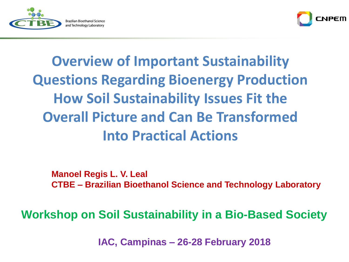



# **Overview of Important Sustainability Questions Regarding Bioenergy Production How Soil Sustainability Issues Fit the Overall Picture and Can Be Transformed Into Practical Actions**

**Manoel Regis L. V. Leal CTBE – Brazilian Bioethanol Science and Technology Laboratory**

**Workshop on Soil Sustainability in a Bio-Based Society**

**IAC, Campinas – 26-28 February 2018**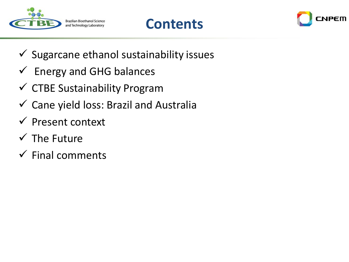





- $\checkmark$  Sugarcane ethanol sustainability issues
- $\checkmark$  Energy and GHG balances
- $\checkmark$  CTBE Sustainability Program
- $\checkmark$  Cane yield loss: Brazil and Australia
- ✓ Present context
- $\checkmark$  The Future
- $\checkmark$  Final comments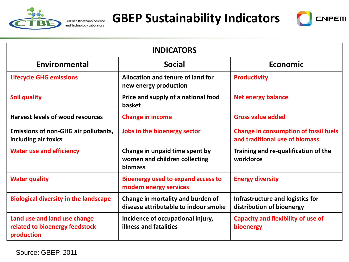

**GBEP Sustainability Indicators**



| <b>INDICATORS</b>                                                            |                                                                            |                                                                                |
|------------------------------------------------------------------------------|----------------------------------------------------------------------------|--------------------------------------------------------------------------------|
| Environmental                                                                | <b>Social</b>                                                              | <b>Economic</b>                                                                |
| <b>Lifecycle GHG emissions</b>                                               | Allocation and tenure of land for<br>new energy production                 | <b>Productivity</b>                                                            |
| <b>Soil quality</b>                                                          | Price and supply of a national food<br><b>basket</b>                       | <b>Net energy balance</b>                                                      |
| <b>Harvest levels of wood resources</b>                                      | <b>Change in income</b>                                                    | <b>Gross value added</b>                                                       |
| <b>Emissions of non-GHG air pollutants,</b><br>including air toxics          | Jobs in the bioenergy sector                                               | <b>Change in consumption of fossil fuels</b><br>and traditional use of biomass |
| <b>Water use and efficiency</b>                                              | Change in unpaid time spent by<br>women and children collecting<br>biomass | Training and re-qualification of the<br>workforce                              |
| <b>Water quality</b>                                                         | <b>Bioenergy used to expand access to</b><br>modern energy services        | <b>Energy diversity</b>                                                        |
| <b>Biological diversity in the landscape</b>                                 | Change in mortality and burden of<br>disease attributable to indoor smoke  | Infrastructure and logistics for<br>distribution of bioenergy                  |
| Land use and land use change<br>related to bioenergy feedstock<br>production | Incidence of occupational injury,<br>illness and fatalities                | <b>Capacity and flexibility of use of</b><br>bioenergy                         |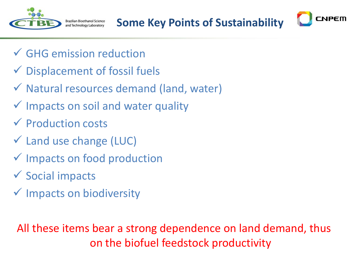

**Brazilian Bioethanol Science** and Technology Laboratory

**Some Key Points of Sustainability**

CNPEM

- ✓ GHG emission reduction
- $\checkmark$  Displacement of fossil fuels
- ✓ Natural resources demand (land, water)
- ✓ Impacts on soil and water quality
- ✓ Production costs
- ✓ Land use change (LUC)
- ✓ Impacts on food production
- ✓ Social impacts
- ✓ Impacts on biodiversity

All these items bear a strong dependence on land demand, thus on the biofuel feedstock productivity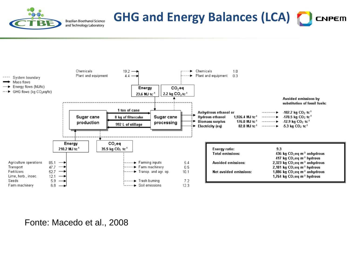

#### **GHG and Energy Balances (LCA)** CNPEM



Fonte: Macedo et al., 2008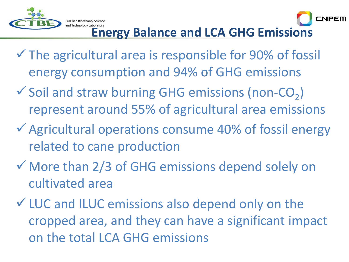

#### **Brazilian Bioethanol Science Energy Balance and LCA GHG Emissions**

CNPEM

- $\checkmark$  The agricultural area is responsible for 90% of fossil energy consumption and 94% of GHG emissions
- $\checkmark$  Soil and straw burning GHG emissions (non-CO<sub>2</sub>) represent around 55% of agricultural area emissions
- ✓Agricultural operations consume 40% of fossil energy related to cane production
- ✓ More than 2/3 of GHG emissions depend solely on cultivated area
- ✓LUC and ILUC emissions also depend only on the cropped area, and they can have a significant impact on the total LCA GHG emissions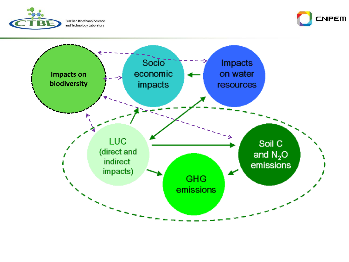

**Brazilian Bioethanol Science** and Technology Laboratory



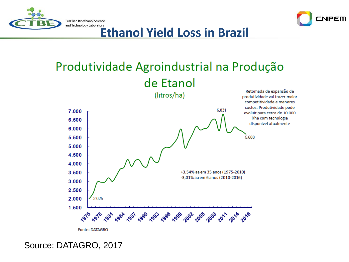



and Technology Laboratory<br>**Ethanol Yield Loss in Brazil** 

### Produtividade Agroindustrial na Produção de Etanol



Source: DATAGRO, 2017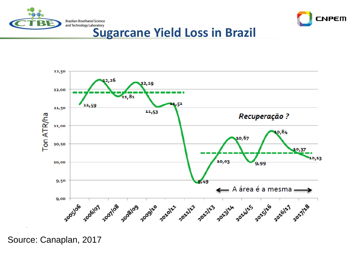



and Technology Laboratory<br>**Sugarcane Yield Loss in Brazil** 



Source: Canaplan, 2017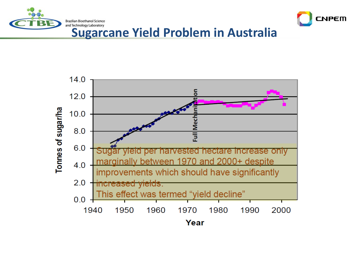



#### **Sugarcane Yield Problem in Australia**

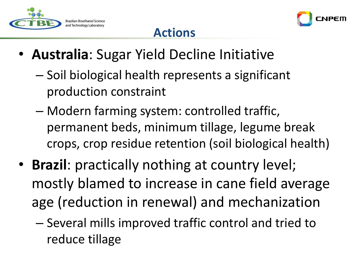



#### **Actions**

- **Australia**: Sugar Yield Decline Initiative
	- Soil biological health represents a significant production constraint
	- Modern farming system: controlled traffic, permanent beds, minimum tillage, legume break crops, crop residue retention (soil biological health)
- **Brazil**: practically nothing at country level; mostly blamed to increase in cane field average age (reduction in renewal) and mechanization
	- Several mills improved traffic control and tried to reduce tillage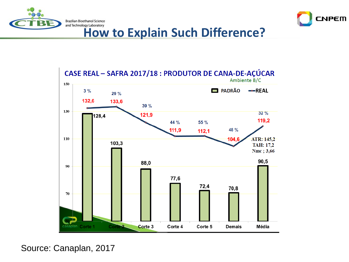



## **How to Explain Such Difference?**



Source: Canaplan, 2017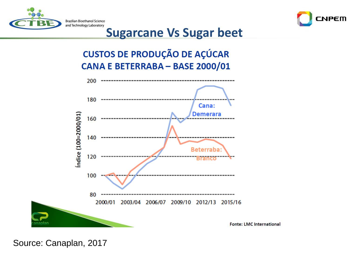



#### **Sugarcane Vs Sugar beet**

**CUSTOS DE PRODUÇÃO DE AÇÚCAR** CANA E BETERRABA - BASE 2000/01



Source: Canaplan, 2017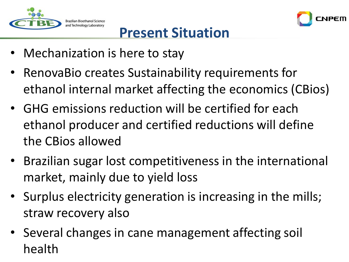



### **Present Situation**

- Mechanization is here to stay
- RenovaBio creates Sustainability requirements for ethanol internal market affecting the economics (CBios)
- GHG emissions reduction will be certified for each ethanol producer and certified reductions will define the CBios allowed
- Brazilian sugar lost competitiveness in the international market, mainly due to yield loss
- Surplus electricity generation is increasing in the mills; straw recovery also
- Several changes in cane management affecting soil health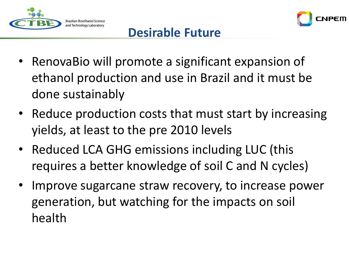



#### **Desirable Future**

- RenovaBio will promote a significant expansion of ethanol production and use in Brazil and it must be done sustainably
- Reduce production costs that must start by increasing yields, at least to the pre 2010 levels
- Reduced LCA GHG emissions including LUC (this requires a better knowledge of soil C and N cycles)
- Improve sugarcane straw recovery, to increase power generation, but watching for the impacts on soil health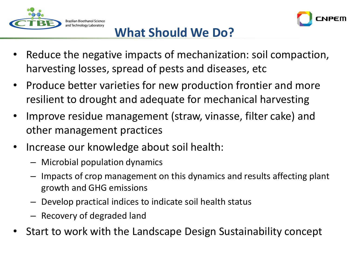



#### **What Should We Do?**

- Reduce the negative impacts of mechanization: soil compaction, harvesting losses, spread of pests and diseases, etc
- Produce better varieties for new production frontier and more resilient to drought and adequate for mechanical harvesting
- Improve residue management (straw, vinasse, filter cake) and other management practices
- Increase our knowledge about soil health:
	- Microbial population dynamics
	- Impacts of crop management on this dynamics and results affecting plant growth and GHG emissions
	- Develop practical indices to indicate soil health status
	- Recovery of degraded land
- Start to work with the Landscape Design Sustainability concept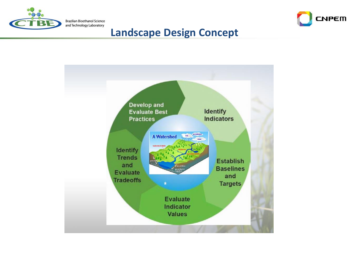



#### **Landscape Design Concept**

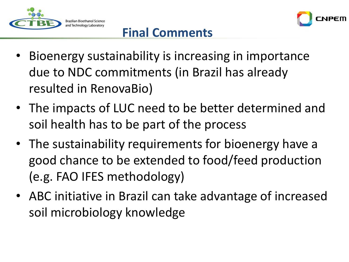



### **Final Comments**

- Bioenergy sustainability is increasing in importance due to NDC commitments (in Brazil has already resulted in RenovaBio)
- The impacts of LUC need to be better determined and soil health has to be part of the process
- The sustainability requirements for bioenergy have a good chance to be extended to food/feed production (e.g. FAO IFES methodology)
- ABC initiative in Brazil can take advantage of increased soil microbiology knowledge